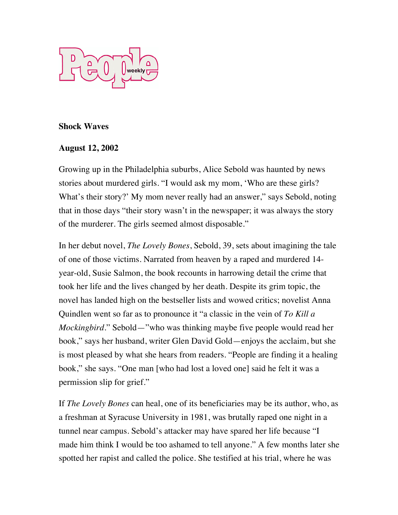

## **Shock Waves**

## **August 12, 2002**

Growing up in the Philadelphia suburbs, Alice Sebold was haunted by news stories about murdered girls. "I would ask my mom, 'Who are these girls? What's their story?' My mom never really had an answer," says Sebold, noting that in those days "their story wasn't in the newspaper; it was always the story of the murderer. The girls seemed almost disposable."

In her debut novel, *The Lovely Bones*, Sebold, 39, sets about imagining the tale of one of those victims. Narrated from heaven by a raped and murdered 14 year-old, Susie Salmon, the book recounts in harrowing detail the crime that took her life and the lives changed by her death. Despite its grim topic, the novel has landed high on the bestseller lists and wowed critics; novelist Anna Quindlen went so far as to pronounce it "a classic in the vein of *To Kill a Mockingbird*." Sebold—"who was thinking maybe five people would read her book," says her husband, writer Glen David Gold—enjoys the acclaim, but she is most pleased by what she hears from readers. "People are finding it a healing book," she says. "One man [who had lost a loved one] said he felt it was a permission slip for grief."

If *The Lovely Bones* can heal, one of its beneficiaries may be its author, who, as a freshman at Syracuse University in 1981, was brutally raped one night in a tunnel near campus. Sebold's attacker may have spared her life because "I made him think I would be too ashamed to tell anyone." A few months later she spotted her rapist and called the police. She testified at his trial, where he was